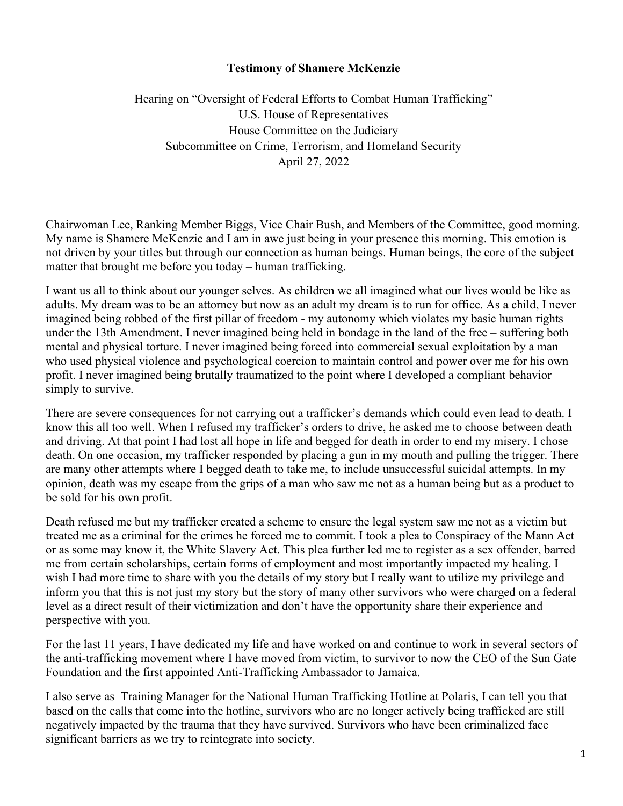## **Testimony of Shamere McKenzie**

Hearing on "Oversight of Federal Efforts to Combat Human Trafficking" U.S. House of Representatives House Committee on the Judiciary Subcommittee on Crime, Terrorism, and Homeland Security April 27, 2022

Chairwoman Lee, Ranking Member Biggs, Vice Chair Bush, and Members of the Committee, good morning. My name is Shamere McKenzie and I am in awe just being in your presence this morning. This emotion is not driven by your titles but through our connection as human beings. Human beings, the core of the subject matter that brought me before you today – human trafficking.

I want us all to think about our younger selves. As children we all imagined what our lives would be like as adults. My dream was to be an attorney but now as an adult my dream is to run for office. As a child, I never imagined being robbed of the first pillar of freedom - my autonomy which violates my basic human rights under the 13th Amendment. I never imagined being held in bondage in the land of the free – suffering both mental and physical torture. I never imagined being forced into commercial sexual exploitation by a man who used physical violence and psychological coercion to maintain control and power over me for his own profit. I never imagined being brutally traumatized to the point where I developed a compliant behavior simply to survive.

There are severe consequences for not carrying out a trafficker's demands which could even lead to death. I know this all too well. When I refused my trafficker's orders to drive, he asked me to choose between death and driving. At that point I had lost all hope in life and begged for death in order to end my misery. I chose death. On one occasion, my trafficker responded by placing a gun in my mouth and pulling the trigger. There are many other attempts where I begged death to take me, to include unsuccessful suicidal attempts. In my opinion, death was my escape from the grips of a man who saw me not as a human being but as a product to be sold for his own profit.

Death refused me but my trafficker created a scheme to ensure the legal system saw me not as a victim but treated me as a criminal for the crimes he forced me to commit. I took a plea to Conspiracy of the Mann Act or as some may know it, the White Slavery Act. This plea further led me to register as a sex offender, barred me from certain scholarships, certain forms of employment and most importantly impacted my healing. I wish I had more time to share with you the details of my story but I really want to utilize my privilege and inform you that this is not just my story but the story of many other survivors who were charged on a federal level as a direct result of their victimization and don't have the opportunity share their experience and perspective with you.

For the last 11 years, I have dedicated my life and have worked on and continue to work in several sectors of the anti-trafficking movement where I have moved from victim, to survivor to now the CEO of the Sun Gate Foundation and the first appointed Anti-Trafficking Ambassador to Jamaica.

I also serve as Training Manager for the National Human Trafficking Hotline at Polaris, I can tell you that based on the calls that come into the hotline, survivors who are no longer actively being trafficked are still negatively impacted by the trauma that they have survived. Survivors who have been criminalized face significant barriers as we try to reintegrate into society.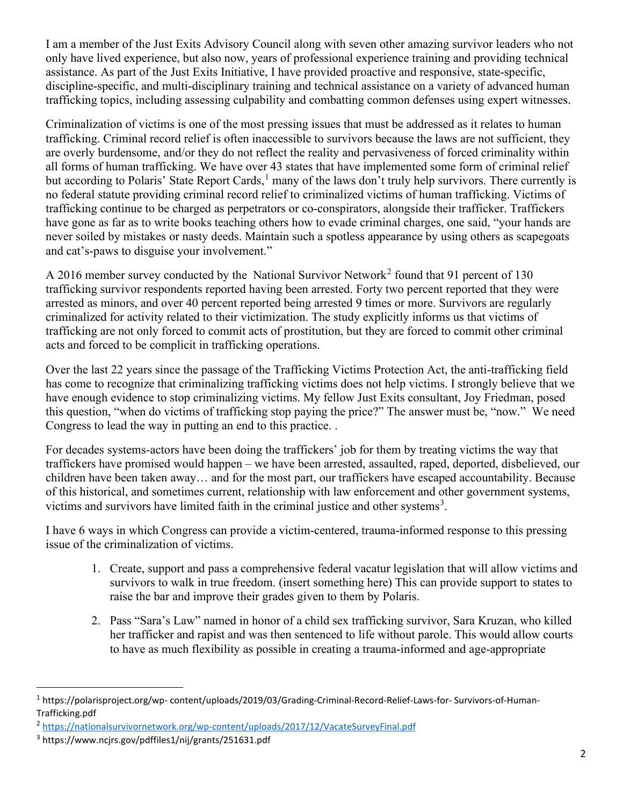I am a member of the Just Exits Advisory Council along with seven other amazing survivor leaders who not only have lived experience, but also now, years of professional experience training and providing technical assistance. As part of the Just Exits Initiative, I have provided proactive and responsive, state-specific, discipline-specific, and multi-disciplinary training and technical assistance on a variety of advanced human trafficking topics, including assessing culpability and combatting common defenses using expert witnesses.

Criminalization of victims is one of the most pressing issues that must be addressed as it relates to human trafficking. Criminal record relief is often inaccessible to survivors because the laws are not sufficient, they are overly burdensome, and/or they do not reflect the reality and pervasiveness of forced criminality within all forms of human trafficking. We have over 43 states that have implemented some form of criminal relief but according to Polaris' State Report Cards,<sup>[1](#page-1-0)</sup> many of the laws don't truly help survivors. There currently is no federal statute providing criminal record relief to criminalized victims of human trafficking. Victims of trafficking continue to be charged as perpetrators or co-conspirators, alongside their trafficker. Traffickers have gone as far as to write books teaching others how to evade criminal charges, one said, "your hands are never soiled by mistakes or nasty deeds. Maintain such a spotless appearance by using others as scapegoats and cat's-paws to disguise your involvement."

A [2](#page-1-1)016 member survey conducted by the National Survivor Network<sup>2</sup> found that 91 percent of 130 trafficking survivor respondents reported having been arrested. Forty two percent reported that they were arrested as minors, and over 40 percent reported being arrested 9 times or more. Survivors are regularly criminalized for activity related to their victimization. The study explicitly informs us that victims of trafficking are not only forced to commit acts of prostitution, but they are forced to commit other criminal acts and forced to be complicit in trafficking operations.

Over the last 22 years since the passage of the Trafficking Victims Protection Act, the anti-trafficking field has come to recognize that criminalizing trafficking victims does not help victims. I strongly believe that we have enough evidence to stop criminalizing victims. My fellow Just Exits consultant, Joy Friedman, posed this question, "when do victims of trafficking stop paying the price?" The answer must be, "now." We need Congress to lead the way in putting an end to this practice. .

For decades systems-actors have been doing the traffickers' job for them by treating victims the way that traffickers have promised would happen – we have been arrested, assaulted, raped, deported, disbelieved, our children have been taken away… and for the most part, our traffickers have escaped accountability. Because of this historical, and sometimes current, relationship with law enforcement and other government systems, victims and survivors have limited faith in the criminal justice and other systems<sup>[3](#page-1-2)</sup>.

I have 6 ways in which Congress can provide a victim-centered, trauma-informed response to this pressing issue of the criminalization of victims.

- 1. Create, support and pass a comprehensive federal vacatur legislation that will allow victims and survivors to walk in true freedom. (insert something here) This can provide support to states to raise the bar and improve their grades given to them by Polaris.
- 2. Pass "Sara's Law" named in honor of a child sex trafficking survivor, Sara Kruzan, who killed her trafficker and rapist and was then sentenced to life without parole. This would allow courts to have as much flexibility as possible in creating a trauma-informed and age-appropriate

<span id="page-1-0"></span><sup>1</sup> https://polarisproject.org/wp- content/uploads/2019/03/Grading-Criminal-Record-Relief-Laws-for- Survivors-of-Human-Trafficking.pdf

<span id="page-1-1"></span><sup>2</sup> <https://nationalsurvivornetwork.org/wp-content/uploads/2017/12/VacateSurveyFinal.pdf>

<span id="page-1-2"></span><sup>3</sup> https://www.ncjrs.gov/pdffiles1/nij/grants/251631.pdf